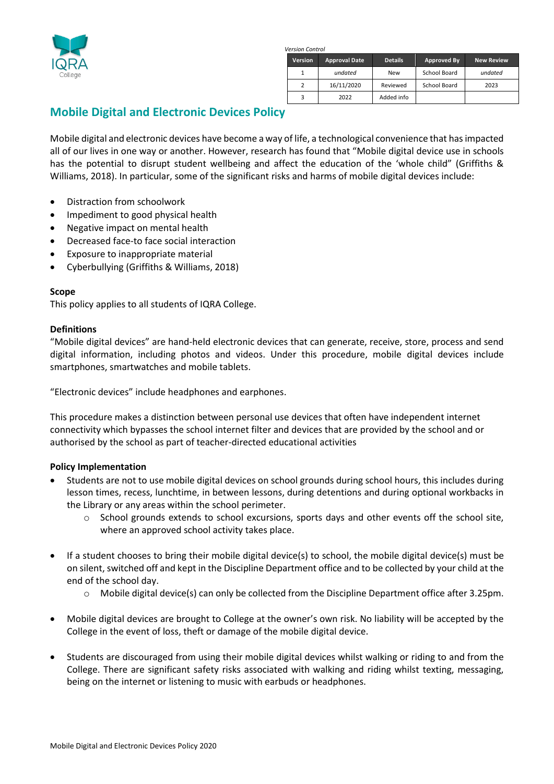

 *Version Control*

| <b>Version</b> | <b>Approval Date</b> | <b>Details</b> | Approved By  | <b>New Review</b> |
|----------------|----------------------|----------------|--------------|-------------------|
|                | undated              | <b>New</b>     | School Board | undated           |
|                | 16/11/2020           | Reviewed       | School Board | 2023              |
|                | 2022                 | Added info     |              |                   |

# **Mobile Digital and Electronic Devices Policy**

Mobile digital and electronic devices have become a way of life, a technological convenience that has impacted all of our lives in one way or another. However, research has found that "Mobile digital device use in schools has the potential to disrupt student wellbeing and affect the education of the 'whole child" (Griffiths & Williams, 2018). In particular, some of the significant risks and harms of mobile digital devices include:

- Distraction from schoolwork
- Impediment to good physical health
- Negative impact on mental health
- Decreased face-to face social interaction
- Exposure to inappropriate material
- Cyberbullying (Griffiths & Williams, 2018)

### **Scope**

This policy applies to all students of IQRA College.

### **Definitions**

"Mobile digital devices" are hand-held electronic devices that can generate, receive, store, process and send digital information, including photos and videos. Under this procedure, mobile digital devices include smartphones, smartwatches and mobile tablets.

"Electronic devices" include headphones and earphones.

This procedure makes a distinction between personal use devices that often have independent internet connectivity which bypasses the school internet filter and devices that are provided by the school and or authorised by the school as part of teacher-directed educational activities

### **Policy Implementation**

- Students are not to use mobile digital devices on school grounds during school hours, this includes during lesson times, recess, lunchtime, in between lessons, during detentions and during optional workbacks in the Library or any areas within the school perimeter.
	- o School grounds extends to school excursions, sports days and other events off the school site, where an approved school activity takes place.
- If a student chooses to bring their mobile digital device(s) to school, the mobile digital device(s) must be on silent, switched off and kept in the Discipline Department office and to be collected by your child at the end of the school day.
	- $\circ$  Mobile digital device(s) can only be collected from the Discipline Department office after 3.25pm.
- Mobile digital devices are brought to College at the owner's own risk. No liability will be accepted by the College in the event of loss, theft or damage of the mobile digital device.
- Students are discouraged from using their mobile digital devices whilst walking or riding to and from the College. There are significant safety risks associated with walking and riding whilst texting, messaging, being on the internet or listening to music with earbuds or headphones.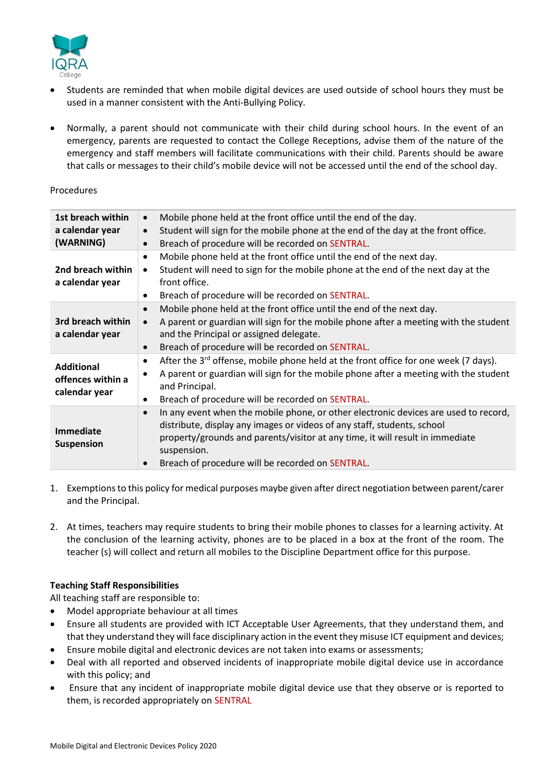

- Students are reminded that when mobile digital devices are used outside of school hours they must be used in a manner consistent with the Anti-Bullying Policy.
- Normally, a parent should not communicate with their child during school hours. In the event of an emergency, parents are requested to contact the College Receptions, advise them of the nature of the emergency and staff members will facilitate communications with their child. Parents should be aware that calls or messages to their child's mobile device will not be accessed until the end of the school day.

### Procedures

| 1st breach within<br>a calendar year<br>(WARNING)       | Mobile phone held at the front office until the end of the day.<br>$\bullet$<br>Student will sign for the mobile phone at the end of the day at the front office.<br>$\bullet$<br>Breach of procedure will be recorded on SENTRAL.<br>$\bullet$                                                                                 |
|---------------------------------------------------------|---------------------------------------------------------------------------------------------------------------------------------------------------------------------------------------------------------------------------------------------------------------------------------------------------------------------------------|
| 2nd breach within<br>a calendar year                    | Mobile phone held at the front office until the end of the next day.<br>Student will need to sign for the mobile phone at the end of the next day at the<br>$\bullet$<br>front office.<br>Breach of procedure will be recorded on SENTRAL.<br>٠                                                                                 |
| 3rd breach within<br>a calendar year                    | Mobile phone held at the front office until the end of the next day.<br>$\bullet$<br>A parent or guardian will sign for the mobile phone after a meeting with the student<br>$\bullet$<br>and the Principal or assigned delegate.<br>Breach of procedure will be recorded on SENTRAL.<br>$\bullet$                              |
| <b>Additional</b><br>offences within a<br>calendar year | After the 3 <sup>rd</sup> offense, mobile phone held at the front office for one week (7 days).<br>$\bullet$<br>A parent or guardian will sign for the mobile phone after a meeting with the student<br>and Principal.<br>Breach of procedure will be recorded on SENTRAL.<br>٠                                                 |
| <b>Immediate</b><br><b>Suspension</b>                   | In any event when the mobile phone, or other electronic devices are used to record,<br>$\bullet$<br>distribute, display any images or videos of any staff, students, school<br>property/grounds and parents/visitor at any time, it will result in immediate<br>suspension.<br>Breach of procedure will be recorded on SENTRAL. |

- 1. Exemptions to this policy for medical purposes maybe given after direct negotiation between parent/carer and the Principal.
- 2. At times, teachers may require students to bring their mobile phones to classes for a learning activity. At the conclusion of the learning activity, phones are to be placed in a box at the front of the room. The teacher (s) will collect and return all mobiles to the Discipline Department office for this purpose.

### **Teaching Staff Responsibilities**

All teaching staff are responsible to:

- Model appropriate behaviour at all times
- Ensure all students are provided with ICT Acceptable User Agreements, that they understand them, and that they understand they will face disciplinary action in the event they misuse ICT equipment and devices;
- Ensure mobile digital and electronic devices are not taken into exams or assessments;
- Deal with all reported and observed incidents of inappropriate mobile digital device use in accordance with this policy; and
- Ensure that any incident of inappropriate mobile digital device use that they observe or is reported to them, is recorded appropriately on SENTRAL